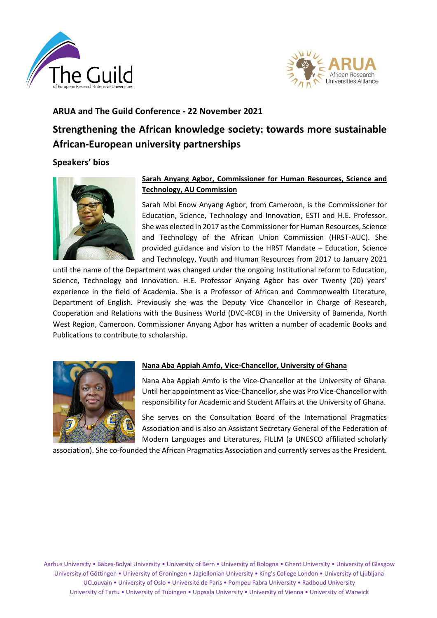



# **ARUA and The Guild Conference - 22 November 2021**

# **Strengthening the African knowledge society: towards more sustainable African-European university partnerships**

# **Speakers' bios**



# **Sarah Anyang Agbor, Commissioner for Human Resources, Science and Technology, AU Commission**

Sarah Mbi Enow Anyang Agbor, from Cameroon, is the Commissioner for Education, Science, Technology and Innovation, ESTI and H.E. Professor. She was elected in 2017 as the Commissioner for Human Resources, Science and Technology of the African Union Commission (HRST-AUC). She provided guidance and vision to the HRST Mandate – Education, Science and Technology, Youth and Human Resources from 2017 to January 2021

until the name of the Department was changed under the ongoing Institutional reform to Education, Science, Technology and Innovation. H.E. Professor Anyang Agbor has over Twenty (20) years' experience in the field of Academia. She is a Professor of African and Commonwealth Literature, Department of English. Previously she was the Deputy Vice Chancellor in Charge of Research, Cooperation and Relations with the Business World (DVC-RCB) in the University of Bamenda, North West Region, Cameroon. Commissioner Anyang Agbor has written a number of academic Books and Publications to contribute to scholarship.



# **Nana Aba Appiah Amfo, Vice-Chancellor, University of Ghana**

Nana Aba Appiah Amfo is the Vice-Chancellor at the University of Ghana. Until her appointment as Vice-Chancellor, she was Pro Vice-Chancellor with responsibility for Academic and Student Affairs at the University of Ghana.

She serves on the Consultation Board of the International Pragmatics Association and is also an Assistant Secretary General of the Federation of Modern Languages and Literatures, FILLM (a UNESCO affiliated scholarly

association). She co-founded the African Pragmatics Association and currently serves as the President.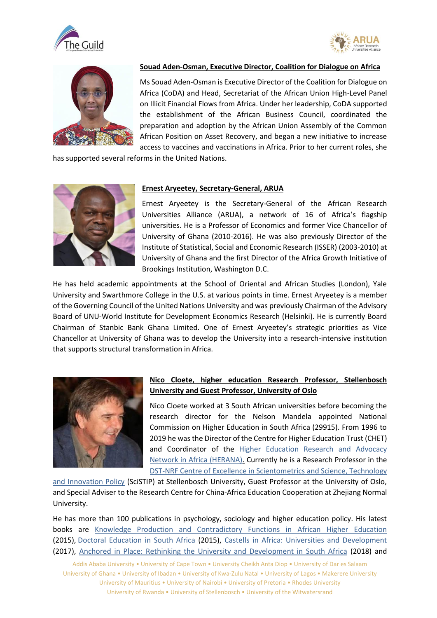





### **Souad Aden-Osman, Executive Director, Coalition for Dialogue on Africa**

Ms Souad Aden-Osman is Executive Director of the Coalition for Dialogue on Africa (CoDA) and Head, Secretariat of the African Union High-Level Panel on Illicit Financial Flows from Africa. Under her leadership, CoDA supported the establishment of the African Business Council, coordinated the preparation and adoption by the African Union Assembly of the Common African Position on Asset Recovery, and began a new initiative to increase access to vaccines and vaccinations in Africa. Prior to her current roles, she

has supported several reforms in the United Nations.



#### **Ernest Aryeetey, Secretary-General, ARUA**

Ernest Aryeetey is the Secretary-General of the African Research Universities Alliance (ARUA), a network of 16 of Africa's flagship universities. He is a Professor of Economics and former Vice Chancellor of University of Ghana (2010-2016). He was also previously Director of the Institute of Statistical, Social and Economic Research (ISSER) (2003-2010) at University of Ghana and the first Director of the Africa Growth Initiative of Brookings Institution, Washington D.C.

He has held academic appointments at the School of Oriental and African Studies (London), Yale University and Swarthmore College in the U.S. at various points in time. Ernest Aryeetey is a member of the Governing Council of the United Nations University and was previously Chairman of the Advisory Board of UNU-World Institute for Development Economics Research (Helsinki). He is currently Board Chairman of Stanbic Bank Ghana Limited. One of Ernest Aryeetey's strategic priorities as Vice Chancellor at University of Ghana was to develop the University into a research-intensive institution that supports structural transformation in Africa.



#### **Nico Cloete, higher education Research Professor, Stellenbosch University and Guest Professor, University of Oslo**

Nico Cloete worked at 3 South African universities before becoming the research director for the Nelson Mandela appointed National Commission on Higher Education in South Africa (29915). From 1996 to 2019 he was the Director of the Centre for Higher Education Trust (CHET) and Coordinator of the [Higher Education Research and Advocacy](http://www.chet.org.za/programmes/herana-iii)  [Network in Africa \(HERANA\).](http://www.chet.org.za/programmes/herana-iii) Currently he is a Research Professor in the [DST-NRF Centre of Excellence in Scientometrics and Science, Technology](http://www0.sun.ac.za/scistip/) 

[and Innovation Policy](http://www0.sun.ac.za/scistip/) (SciSTIP) at Stellenbosch University, Guest Professor at the University of Oslo, and Special Adviser to the Research Centre for China-Africa Education Cooperation at Zhejiang Normal University.

He has more than 100 publications in psychology, sociology and higher education policy. His latest books are [Knowledge Production and Contradictory Functions in African Higher Education](http://www.africanminds.co.za/dd-product/knowledge-production-and-contradictory-functions-in-african-higher-education/) (2015), [Doctoral Education in South Africa](http://www.africanminds.co.za/dd-product/doctoral-education-in-south-africa/) (2015), [Castells in Africa: Universities and Development](http://www.africanminds.co.za/dd-product/higher-education-and-development/) (2017), [Anchored in Place: Rethinking the University and Development in South Africa](https://www.africanminds.co.za/anchored-in-place-rethinking-universities-and-development-in-south-africa/) (2018) and

Addis Ababa University • University of Cape Town • University Cheikh Anta Diop • University of Dar es Salaam University of Ghana • University of Ibadan • University of Kwa-Zulu Natal • University of Lagos • Makerere University University of Mauritius • University of Nairobi • University of Pretoria • Rhodes University University of Rwanda • University of Stellenbosch • University of the Witwatersrand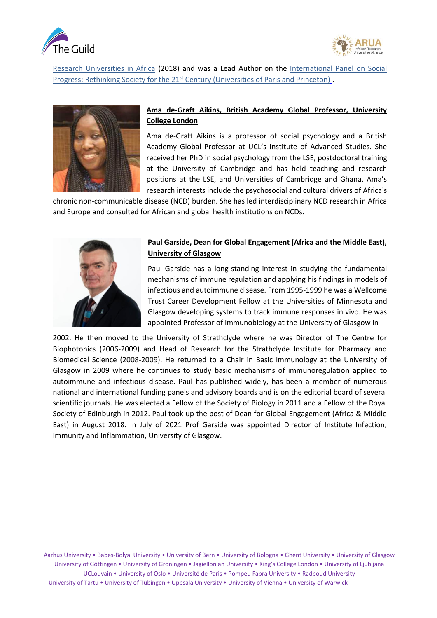



[Research Universities in Africa](https://www.africanminds.co.za/research-universities-in-africa/) (2018) and was a Lead Author on the International Panel on Social [Progress:](http://www.ipsp.org/) Rethinking Society for the 21<sup>st</sup> Century (Universities of Paris and Princeton).



# **Ama de-Graft Aikins, British Academy Global Professor, University College London**

Ama de-Graft Aikins is a professor of social psychology and a British Academy Global Professor at UCL's Institute of Advanced Studies. She received her PhD in social psychology from the LSE, postdoctoral training at the University of Cambridge and has held teaching and research positions at the LSE, and Universities of Cambridge and Ghana. Ama's research interests include the psychosocial and cultural drivers of Africa's

chronic non-communicable disease (NCD) burden. She has led interdisciplinary NCD research in Africa and Europe and consulted for African and global health institutions on NCDs.



# **Paul Garside, Dean for Global Engagement (Africa and the Middle East), University of Glasgow**

Paul Garside has a long-standing interest in studying the fundamental mechanisms of immune regulation and applying his findings in models of infectious and autoimmune disease. From 1995-1999 he was a Wellcome Trust Career Development Fellow at the Universities of Minnesota and Glasgow developing systems to track immune responses in vivo. He was appointed Professor of Immunobiology at the University of Glasgow in

2002. He then moved to the University of Strathclyde where he was Director of The Centre for Biophotonics (2006-2009) and Head of Research for the Strathclyde Institute for Pharmacy and Biomedical Science (2008-2009). He returned to a Chair in Basic Immunology at the University of Glasgow in 2009 where he continues to study basic mechanisms of immunoregulation applied to autoimmune and infectious disease. Paul has published widely, has been a member of numerous national and international funding panels and advisory boards and is on the editorial board of several scientific journals. He was elected a Fellow of the Society of Biology in 2011 and a Fellow of the Royal Society of Edinburgh in 2012. Paul took up the post of Dean for Global Engagement (Africa & Middle East) in August 2018. In July of 2021 Prof Garside was appointed Director of Institute Infection, Immunity and Inflammation, University of Glasgow.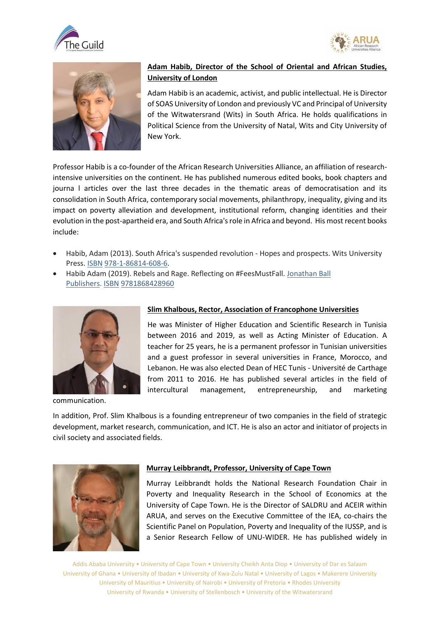





# **Adam Habib, Director of the School of Oriental and African Studies, University of London**

Adam Habib is an academic, activist, and public intellectual. He is Director of SOAS University of London and previously VC and Principal of University of the Witwatersrand (Wits) in South Africa. He holds qualifications in Political Science from the University of Natal, Wits and City University of New York.

Professor Habib is a co-founder of the African Research Universities Alliance, an affiliation of researchintensive universities on the continent. He has published numerous edited books, book chapters and journa l articles over the last three decades in the thematic areas of democratisation and its consolidation in South Africa, contemporary social movements, philanthropy, inequality, giving and its impact on poverty alleviation and development, institutional reform, changing identities and their evolution in the post-apartheid era, and South Africa's role in Africa and beyond. His most recent books include:

- Habib, Adam (2013). South Africa's suspended revolution Hopes and prospects. Wits University Press. [ISBN](https://en.wikipedia.org/wiki/ISBN_(identifier)) [978-1-86814-608-6.](https://en.wikipedia.org/wiki/Special:BookSources/978-1-86814-608-6)
- Habib Adam (2019). Rebels and Rage. Reflecting on #FeesMustFall. [Jonathan Ball](https://en.wikipedia.org/wiki/Jonathan_Ball_Publishers)  [Publishers.](https://en.wikipedia.org/wiki/Jonathan_Ball_Publishers) [ISBN](https://en.wikipedia.org/wiki/ISBN_(identifier)) [9781868428960](https://en.wikipedia.org/wiki/Special:BookSources/9781868428960)



communication.

### **Slim Khalbous, Rector, Association of Francophone Universities**

He was Minister of Higher Education and Scientific Research in Tunisia between 2016 and 2019, as well as Acting Minister of Education. A teacher for 25 years, he is a permanent professor in Tunisian universities and a guest professor in several universities in France, Morocco, and Lebanon. He was also elected Dean of HEC Tunis - Université de Carthage from 2011 to 2016. He has published several articles in the field of intercultural management, entrepreneurship, and marketing

In addition, Prof. Slim Khalbous is a founding entrepreneur of two companies in the field of strategic development, market research, communication, and ICT. He is also an actor and initiator of projects in civil society and associated fields.



#### **Murray Leibbrandt, Professor, University of Cape Town**

Murray Leibbrandt holds the National Research Foundation Chair in Poverty and Inequality Research in the School of Economics at the University of Cape Town. He is the Director of SALDRU and ACEIR within ARUA, and serves on the Executive Committee of the IEA, co-chairs the Scientific Panel on Population, Poverty and Inequality of the IUSSP, and is a Senior Research Fellow of UNU-WIDER. He has published widely in

Addis Ababa University • University of Cape Town • University Cheikh Anta Diop • University of Dar es Salaam University of Ghana • University of Ibadan • University of Kwa-Zulu Natal • University of Lagos • Makerere University University of Mauritius • University of Nairobi • University of Pretoria • Rhodes University University of Rwanda • University of Stellenbosch • University of the Witwatersrand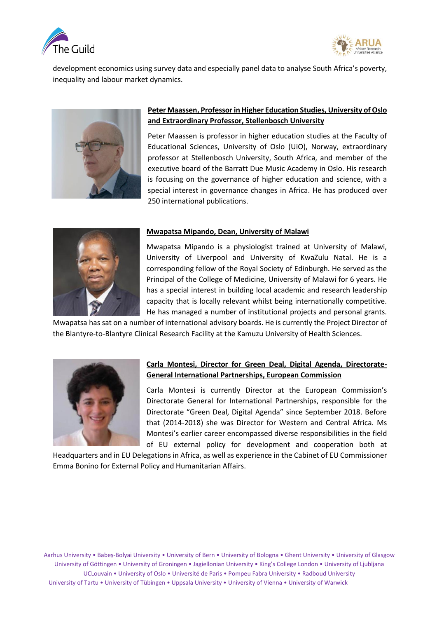



development economics using survey data and especially panel data to analyse South Africa's poverty, inequality and labour market dynamics.



# **Peter Maassen, Professor in Higher Education Studies, University of Oslo and Extraordinary Professor, Stellenbosch University**

Peter Maassen is professor in higher education studies at the Faculty of Educational Sciences, University of Oslo (UiO), Norway, extraordinary professor at Stellenbosch University, South Africa, and member of the executive board of the Barratt Due Music Academy in Oslo. His research is focusing on the governance of higher education and science, with a special interest in governance changes in Africa. He has produced over 250 international publications.



#### **Mwapatsa Mipando, Dean, University of Malawi**

Mwapatsa Mipando is a physiologist trained at University of Malawi, University of Liverpool and University of KwaZulu Natal. He is a corresponding fellow of the Royal Society of Edinburgh. He served as the Principal of the College of Medicine, University of Malawi for 6 years. He has a special interest in building local academic and research leadership capacity that is locally relevant whilst being internationally competitive. He has managed a number of institutional projects and personal grants.

Mwapatsa has sat on a number of international advisory boards. He is currently the Project Director of the Blantyre-to-Blantyre Clinical Research Facility at the Kamuzu University of Health Sciences.



# **Carla Montesi, Director for Green Deal, Digital Agenda, Directorate-General International Partnerships, European Commission**

Carla Montesi is currently Director at the European Commission's Directorate General for International Partnerships, responsible for the Directorate "Green Deal, Digital Agenda" since September 2018. Before that (2014-2018) she was Director for Western and Central Africa. Ms Montesi's earlier career encompassed diverse responsibilities in the field of EU external policy for development and cooperation both at

Headquarters and in EU Delegations in Africa, as well as experience in the Cabinet of EU Commissioner Emma Bonino for External Policy and Humanitarian Affairs.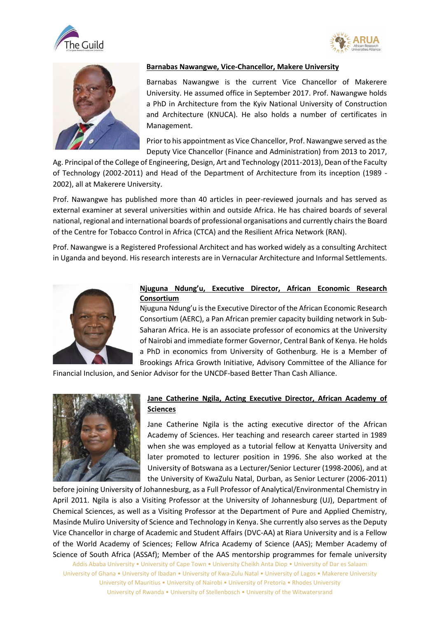



![](_page_5_Picture_2.jpeg)

### **Barnabas Nawangwe, Vice-Chancellor, Makere University**

Barnabas Nawangwe is the current Vice Chancellor of Makerere University. He assumed office in September 2017. Prof. Nawangwe holds a PhD in Architecture from the Kyiv National University of Construction and Architecture (KNUCA). He also holds a number of certificates in Management.

Prior to his appointment as Vice Chancellor, Prof. Nawangwe served as the Deputy Vice Chancellor (Finance and Administration) from 2013 to 2017,

Ag. Principal of the College of Engineering, Design, Art and Technology (2011-2013), Dean of the Faculty of Technology (2002-2011) and Head of the Department of Architecture from its inception (1989 - 2002), all at Makerere University.

Prof. Nawangwe has published more than 40 articles in peer-reviewed journals and has served as external examiner at several universities within and outside Africa. He has chaired boards of several national, regional and international boards of professional organisations and currently chairs the Board of the Centre for Tobacco Control in Africa (CTCA) and the Resilient Africa Network (RAN).

Prof. Nawangwe is a Registered Professional Architect and has worked widely as a consulting Architect in Uganda and beyond. His research interests are in Vernacular Architecture and Informal Settlements.

![](_page_5_Picture_9.jpeg)

### **Njuguna Ndung'u, Executive Director, African Economic Research Consortium**

Njuguna Ndung'u is the Executive Director of the African Economic Research Consortium (AERC), a Pan African premier capacity building network in Sub-Saharan Africa. He is an associate professor of economics at the University of Nairobi and immediate former Governor, Central Bank of Kenya. He holds a PhD in economics from University of Gothenburg. He is a Member of Brookings Africa Growth Initiative, Advisory Committee of the Alliance for

Financial Inclusion, and Senior Advisor for the UNCDF-based Better Than Cash Alliance.

![](_page_5_Picture_13.jpeg)

## **Jane Catherine Ngila, Acting Executive Director, African Academy of Sciences**

Jane Catherine Ngila is the acting executive director of the African Academy of Sciences. Her teaching and research career started in 1989 when she was employed as a tutorial fellow at Kenyatta University and later promoted to lecturer position in 1996. She also worked at the University of Botswana as a Lecturer/Senior Lecturer (1998-2006), and at the University of KwaZulu Natal, Durban, as Senior Lecturer (2006-2011)

before joining University of Johannesburg, as a Full Professor of Analytical/Environmental Chemistry in April 2011. Ngila is also a Visiting Professor at the University of Johannesburg (UJ), Department of Chemical Sciences, as well as a Visiting Professor at the Department of Pure and Applied Chemistry, Masinde Muliro University of Science and Technology in Kenya. She currently also serves as the Deputy Vice Chancellor in charge of Academic and Student Affairs (DVC-AA) at Riara University and is a Fellow of the World Academy of Sciences; Fellow Africa Academy of Science (AAS); Member Academy of Science of South Africa (ASSAf); Member of the AAS mentorship programmes for female university

Addis Ababa University • University of Cape Town • University Cheikh Anta Diop • University of Dar es Salaam University of Ghana • University of Ibadan • University of Kwa-Zulu Natal • University of Lagos • Makerere University University of Mauritius • University of Nairobi • University of Pretoria • Rhodes University University of Rwanda • University of Stellenbosch • University of the Witwatersrand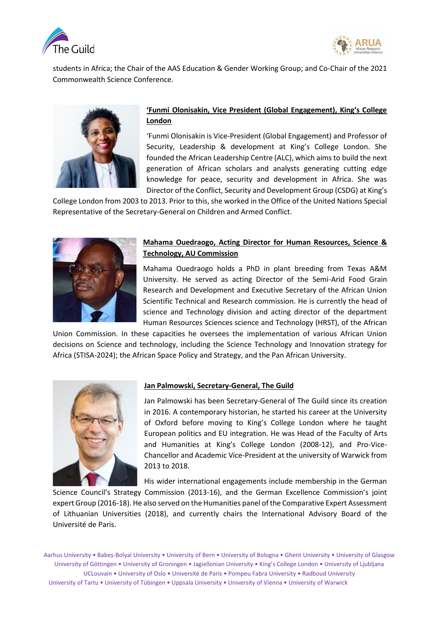![](_page_6_Picture_0.jpeg)

![](_page_6_Picture_1.jpeg)

students in Africa; the Chair of the AAS Education & Gender Working Group; and Co-Chair of the 2021 Commonwealth Science Conference.

![](_page_6_Picture_3.jpeg)

# **'Funmi Olonisakin, Vice President (Global Engagement), King's College London**

'Funmi Olonisakin is Vice-President (Global Engagement) and Professor of Security, Leadership & development at King's College London. She founded the African Leadership Centre (ALC), which aims to build the next generation of African scholars and analysts generating cutting edge knowledge for peace, security and development in Africa. She was Director of the Conflict, Security and Development Group (CSDG) at King's

College London from 2003 to 2013. Prior to this, she worked in the Office of the United Nations Special Representative of the Secretary-General on Children and Armed Conflict.

![](_page_6_Picture_7.jpeg)

# **Mahama Ouedraogo, Acting Director for Human Resources, Science & Technology, AU Commission**

Mahama Ouedraogo holds a PhD in plant breeding from Texas A&M University. He served as acting Director of the Semi-Arid Food Grain Research and Development and Executive Secretary of the African Union Scientific Technical and Research commission. He is currently the head of science and Technology division and acting director of the department Human Resources Sciences science and Technology (HRST), of the African

Union Commission. In these capacities he oversees the implementation of various African Union decisions on Science and technology, including the Science Technology and Innovation strategy for Africa (STISA-2024); the African Space Policy and Strategy, and the Pan African University.

![](_page_6_Picture_11.jpeg)

# **Jan Palmowski, Secretary-General, The Guild**

Jan Palmowski has been Secretary-General of The Guild since its creation in 2016. A contemporary historian, he started his career at the University of Oxford before moving to King's College London where he taught European politics and EU integration. He was Head of the Faculty of Arts and Humanities at King's College London (2008-12), and Pro-Vice-Chancellor and Academic Vice-President at the university of Warwick from 2013 to 2018.

His wider international engagements include membership in the German

Science Council's Strategy Commission (2013-16), and the German Excellence Commission's joint expert Group (2016-18). He also served on the Humanities panel of the Comparative Expert Assessment of Lithuanian Universities (2018), and currently chairs the International Advisory Board of the Université de Paris.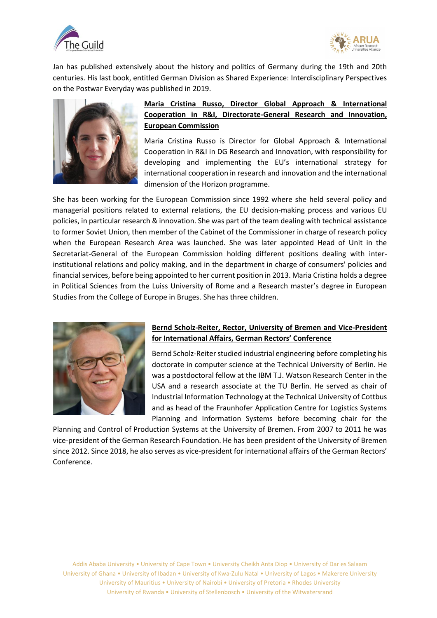![](_page_7_Picture_0.jpeg)

![](_page_7_Picture_1.jpeg)

Jan has published extensively about the history and politics of Germany during the 19th and 20th centuries. His last book, entitled German Division as Shared Experience: Interdisciplinary Perspectives on the Postwar Everyday was published in 2019.

![](_page_7_Picture_3.jpeg)

# **Maria Cristina Russo, Director Global Approach & International Cooperation in R&I, Directorate-General Research and Innovation, European Commission**

Maria Cristina Russo is Director for Global Approach & International Cooperation in R&I in DG Research and Innovation, with responsibility for developing and implementing the EU's international strategy for international cooperation in research and innovation and the international dimension of the Horizon programme.

She has been working for the European Commission since 1992 where she held several policy and managerial positions related to external relations, the EU decision-making process and various EU policies, in particular research & innovation. She was part of the team dealing with technical assistance to former Soviet Union, then member of the Cabinet of the Commissioner in charge of research policy when the European Research Area was launched. She was later appointed Head of Unit in the Secretariat-General of the European Commission holding different positions dealing with interinstitutional relations and policy making, and in the department in charge of consumers' policies and financial services, before being appointed to her current position in 2013. Maria Cristina holds a degree in Political Sciences from the Luiss University of Rome and a Research master's degree in European Studies from the College of Europe in Bruges. She has three children.

![](_page_7_Picture_7.jpeg)

# **Bernd Scholz-Reiter, Rector, University of Bremen and Vice-President for International Affairs, German Rectors' Conference**

Bernd Scholz-Reiter studied industrial engineering before completing his doctorate in computer science at the Technical University of Berlin. He was a postdoctoral fellow at the IBM T.J. Watson Research Center in the USA and a research associate at the TU Berlin. He served as chair of Industrial Information Technology at the Technical University of Cottbus and as head of the Fraunhofer Application Centre for Logistics Systems Planning and Information Systems before becoming chair for the

Planning and Control of Production Systems at the University of Bremen. From 2007 to 2011 he was vice-president of the German Research Foundation. He has been president of the University of Bremen since 2012. Since 2018, he also serves as vice-president for international affairs of the German Rectors' Conference.